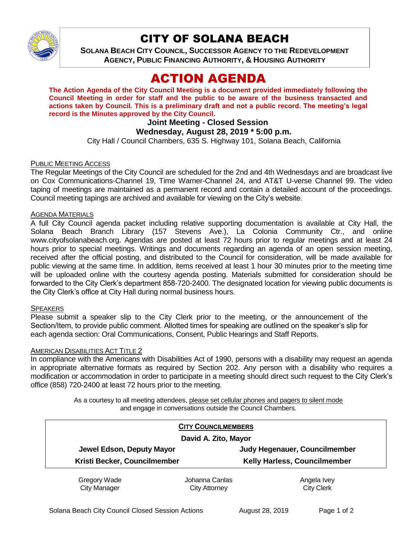

## CITY OF SOLANA BEACH

**SOLANA BEACH CITY COUNCIL, SUCCESSOR AGENCY TO THE REDEVELOPMENT AGENCY, PUBLIC FINANCING AUTHORITY, & HOUSING AUTHORITY** 

# ACTION AGENDA

**The Action Agenda of the City Council Meeting is a document provided immediately following the Council Meeting in order for staff and the public to be aware of the business transacted and actions taken by Council. This is a preliminary draft and not a public record. The meeting's legal record is the Minutes approved by the City Council.**

## **Joint Meeting - Closed Session**

### **Wednesday, August 28, 2019 \* 5:00 p.m.**

City Hall / Council Chambers, 635 S. Highway 101, Solana Beach, California

#### PUBLIC MEETING ACCESS

The Regular Meetings of the City Council are scheduled for the 2nd and 4th Wednesdays and are broadcast live on Cox Communications-Channel 19, Time Warner-Channel 24, and AT&T U-verse Channel 99. The video taping of meetings are maintained as a permanent record and contain a detailed account of the proceedings. Council meeting tapings are archived and available for viewing on the City's website.

#### AGENDA MATERIALS

A full City Council agenda packet including relative supporting documentation is available at City Hall, the Solana Beach Branch Library (157 Stevens Ave.), La Colonia Community Ctr., and online www.cityofsolanabeach.org. Agendas are posted at least 72 hours prior to regular meetings and at least 24 hours prior to special meetings. Writings and documents regarding an agenda of an open session meeting, received after the official posting, and distributed to the Council for consideration, will be made available for public viewing at the same time. In addition, items received at least 1 hour 30 minutes prior to the meeting time will be uploaded online with the courtesy agenda posting. Materials submitted for consideration should be forwarded to the City Clerk's department 858-720-2400. The designated location for viewing public documents is the City Clerk's office at City Hall during normal business hours.

#### **SPEAKERS**

Please submit a speaker slip to the City Clerk prior to the meeting, or the announcement of the Section/Item, to provide public comment. Allotted times for speaking are outlined on the speaker's slip for each agenda section: Oral Communications, Consent, Public Hearings and Staff Reports.

#### AMERICAN DISABILITIES ACT TITLE 2

In compliance with the Americans with Disabilities Act of 1990, persons with a disability may request an agenda in appropriate alternative formats as required by Section 202. Any person with a disability who requires a modification or accommodation in order to participate in a meeting should direct such request to the City Clerk's office (858) 720-2400 at least 72 hours prior to the meeting.

> As a courtesy to all meeting attendees, please set cellular phones and pagers to silent mode and engage in conversations outside the Council Chambers.

| <b>CITY COUNCILMEMBERS</b>   |                |                               |
|------------------------------|----------------|-------------------------------|
| David A. Zito, Mayor         |                |                               |
| Jewel Edson, Deputy Mayor    |                | Judy Hegenauer, Councilmember |
| Kristi Becker, Councilmember |                | Kelly Harless, Councilmember  |
| Gregory Wade                 | Iohanna Canlas | Angela Ivev                   |

iregory Wade City Manager Johanna Canlas City Attorney

Angela Ivey City Clerk